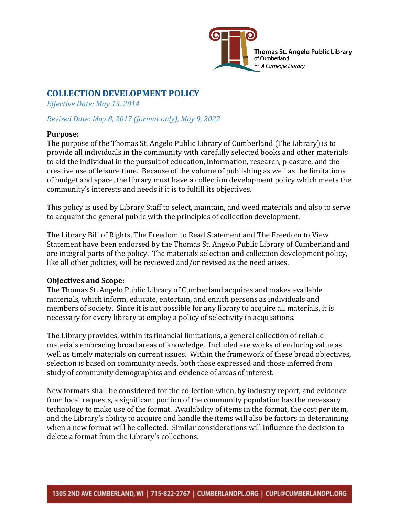

# **COLLECTION DEVELOPMENT POLICY**

*Effective Date: May 13, 2014*

# *Revised Date: May 8, 2017 (format only), May 9, 2022*

# **Purpose:**

The purpose of the Thomas St. Angelo Public Library of Cumberland (The Library) is to provide all individuals in the community with carefully selected books and other materials to aid the individual in the pursuit of education, information, research, pleasure, and the creative use of leisure time. Because of the volume of publishing as well as the limitations of budget and space, the library must have a collection development policy which meets the community's interests and needs if it is to fulfill its objectives.

This policy is used by Library Staff to select, maintain, and weed materials and also to serve to acquaint the general public with the principles of collection development.

The Library Bill of Rights, The Freedom to Read Statement and The Freedom to View Statement have been endorsed by the Thomas St. Angelo Public Library of Cumberland and are integral parts of the policy. The materials selection and collection development policy, like all other policies, will be reviewed and/or revised as the need arises.

# **Objectives and Scope:**

The Thomas St. Angelo Public Library of Cumberland acquires and makes available materials, which inform, educate, entertain, and enrich persons as individuals and members of society. Since it is not possible for any library to acquire all materials, it is necessary for every library to employ a policy of selectivity in acquisitions.

The Library provides, within its financial limitations, a general collection of reliable materials embracing broad areas of knowledge. Included are works of enduring value as well as timely materials on current issues. Within the framework of these broad objectives, selection is based on community needs, both those expressed and those inferred from study of community demographics and evidence of areas of interest.

New formats shall be considered for the collection when, by industry report, and evidence from local requests, a significant portion of the community population has the necessary technology to make use of the format. Availability of items in the format, the cost per item, and the Library's ability to acquire and handle the items will also be factors in determining when a new format will be collected. Similar considerations will influence the decision to delete a format from the Library's collections.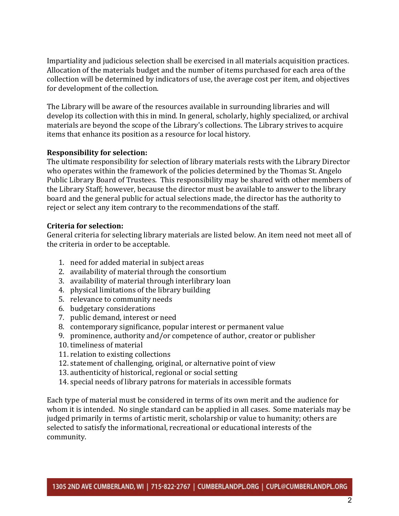Impartiality and judicious selection shall be exercised in all materials acquisition practices. Allocation of the materials budget and the number of items purchased for each area of the collection will be determined by indicators of use, the average cost per item, and objectives for development of the collection.

The Library will be aware of the resources available in surrounding libraries and will develop its collection with this in mind. In general, scholarly, highly specialized, or archival materials are beyond the scope of the Library's collections. The Library strives to acquire items that enhance its position as a resource for local history.

## **Responsibility for selection:**

The ultimate responsibility for selection of library materials rests with the Library Director who operates within the framework of the policies determined by the Thomas St. Angelo Public Library Board of Trustees. This responsibility may be shared with other members of the Library Staff; however, because the director must be available to answer to the library board and the general public for actual selections made, the director has the authority to reject or select any item contrary to the recommendations of the staff.

## **Criteria for selection:**

General criteria for selecting library materials are listed below. An item need not meet all of the criteria in order to be acceptable.

- 1. need for added material in subject areas
- 2. availability of material through the consortium
- 3. availability of material through interlibrary loan
- 4. physical limitations of the library building
- 5. relevance to community needs
- 6. budgetary considerations
- 7. public demand, interest or need
- 8. contemporary significance, popular interest or permanent value
- 9. prominence, authority and/or competence of author, creator or publisher
- 10. timeliness of material
- 11. relation to existing collections
- 12. statement of challenging, original, or alternative point of view
- 13. authenticity of historical, regional or social setting
- 14. special needs of library patrons for materials in accessible formats

Each type of material must be considered in terms of its own merit and the audience for whom it is intended. No single standard can be applied in all cases. Some materials may be judged primarily in terms of artistic merit, scholarship or value to humanity; others are selected to satisfy the informational, recreational or educational interests of the community.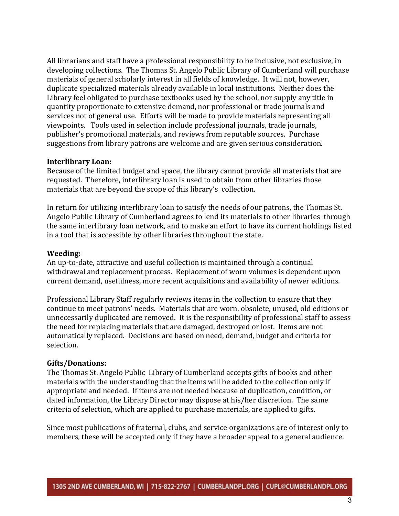All librarians and staff have a professional responsibility to be inclusive, not exclusive, in developing collections. The Thomas St. Angelo Public Library of Cumberland will purchase materials of general scholarly interest in all fields of knowledge. It will not, however, duplicate specialized materials already available in local institutions. Neither does the Library feel obligated to purchase textbooks used by the school, nor supply any title in quantity proportionate to extensive demand, nor professional or trade journals and services not of general use. Efforts will be made to provide materials representing all viewpoints. Tools used in selection include professional journals, trade journals, publisher's promotional materials, and reviews from reputable sources. Purchase suggestions from library patrons are welcome and are given serious consideration.

#### **Interlibrary Loan:**

Because of the limited budget and space, the library cannot provide all materials that are requested. Therefore, interlibrary loan is used to obtain from other libraries those materials that are beyond the scope of this library's collection.

In return for utilizing interlibrary loan to satisfy the needs of our patrons, the Thomas St. Angelo Public Library of Cumberland agrees to lend its materials to other libraries through the same interlibrary loan network, and to make an effort to have its current holdings listed in a tool that is accessible by other libraries throughout the state.

#### **Weeding:**

An up-to-date, attractive and useful collection is maintained through a continual withdrawal and replacement process. Replacement of worn volumes is dependent upon current demand, usefulness, more recent acquisitions and availability of newer editions.

Professional Library Staff regularly reviews items in the collection to ensure that they continue to meet patrons' needs. Materials that are worn, obsolete, unused, old editions or unnecessarily duplicated are removed. It is the responsibility of professional staff to assess the need for replacing materials that are damaged, destroyed or lost. Items are not automatically replaced. Decisions are based on need, demand, budget and criteria for selection.

### **Gifts/Donations:**

The Thomas St. Angelo Public Library of Cumberland accepts gifts of books and other materials with the understanding that the items will be added to the collection only if appropriate and needed. If items are not needed because of duplication, condition, or dated information, the Library Director may dispose at his/her discretion. The same criteria of selection, which are applied to purchase materials, are applied to gifts.

Since most publications of fraternal, clubs, and service organizations are of interest only to members, these will be accepted only if they have a broader appeal to a general audience.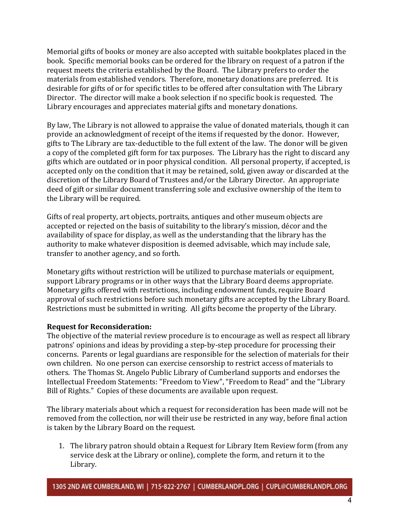Memorial gifts of books or money are also accepted with suitable bookplates placed in the book. Specific memorial books can be ordered for the library on request of a patron if the request meets the criteria established by the Board. The Library prefers to order the materials from established vendors. Therefore, monetary donations are preferred. It is desirable for gifts of or for specific titles to be offered after consultation with The Library Director. The director will make a book selection if no specific book is requested. The Library encourages and appreciates material gifts and monetary donations.

By law, The Library is not allowed to appraise the value of donated materials, though it can provide an acknowledgment of receipt of the items if requested by the donor. However, gifts to The Library are tax-deductible to the full extent of the law. The donor will be given a copy of the completed gift form for tax purposes. The Library has the right to discard any gifts which are outdated or in poor physical condition. All personal property, if accepted, is accepted only on the condition that it may be retained, sold, given away or discarded at the discretion of the Library Board of Trustees and/or the Library Director. An appropriate deed of gift or similar document transferring sole and exclusive ownership of the item to the Library will be required.

Gifts of real property, art objects, portraits, antiques and other museum objects are accepted or rejected on the basis of suitability to the library's mission, décor and the availability of space for display, as well as the understanding that the library has the authority to make whatever disposition is deemed advisable, which may include sale, transfer to another agency, and so forth.

Monetary gifts without restriction will be utilized to purchase materials or equipment, support Library programs or in other ways that the Library Board deems appropriate. Monetary gifts offered with restrictions, including endowment funds, require Board approval of such restrictions before such monetary gifts are accepted by the Library Board. Restrictions must be submitted in writing. All gifts become the property of the Library.

# **Request for Reconsideration:**

The objective of the material review procedure is to encourage as well as respect all library patrons' opinions and ideas by providing a step-by-step procedure for processing their concerns. Parents or legal guardians are responsible for the selection of materials for their own children. No one person can exercise censorship to restrict access of materials to others. The Thomas St. Angelo Public Library of Cumberland supports and endorses the Intellectual Freedom Statements: "Freedom to View", "Freedom to Read" and the "Library Bill of Rights." Copies of these documents are available upon request.

The library materials about which a request for reconsideration has been made will not be removed from the collection, nor will their use be restricted in any way, before final action is taken by the Library Board on the request.

1. The library patron should obtain a Request for Library Item Review form (from any service desk at the Library or online), complete the form, and return it to the Library.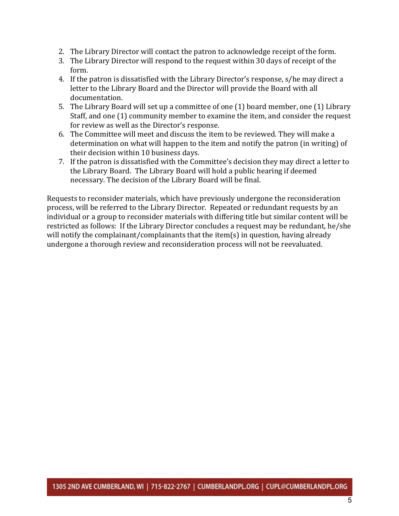- 2. The Library Director will contact the patron to acknowledge receipt of the form.
- 3. The Library Director will respond to the request within 30 days of receipt of the form.
- 4. If the patron is dissatisfied with the Library Director's response, s/he may direct a letter to the Library Board and the Director will provide the Board with all documentation.
- 5. The Library Board will set up a committee of one (1) board member, one (1) Library Staff, and one (1) community member to examine the item, and consider the request for review as well as the Director's response.
- 6. The Committee will meet and discuss the item to be reviewed. They will make a determination on what will happen to the item and notify the patron (in writing) of their decision within 10 business days.
- 7. If the patron is dissatisfied with the Committee's decision they may direct a letter to the Library Board. The Library Board will hold a public hearing if deemed necessary. The decision of the Library Board will be final.

Requests to reconsider materials, which have previously undergone the reconsideration process, will be referred to the Library Director. Repeated or redundant requests by an individual or a group to reconsider materials with differing title but similar content will be restricted as follows: If the Library Director concludes a request may be redundant, he/she will notify the complainant/complainants that the item(s) in question, having already undergone a thorough review and reconsideration process will not be reevaluated.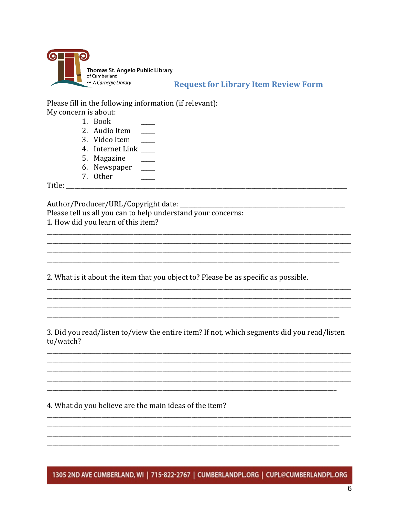

**Request for Library Item Review Form** 

Please fill in the following information (if relevant): My concern is about:

- 1. Book
- 2. Audio Item
- 3. Video Item
- 4. Internet Link \_\_\_\_
- 5. Magazine
- 6. Newspaper  $\frac{1}{1}$
- 7. Other

Title:

Please tell us all you can to help understand your concerns: 1. How did you learn of this item?

2. What is it about the item that you object to? Please be as specific as possible.

3. Did you read/listen to/view the entire item? If not, which segments did you read/listen to/watch?

4. What do you believe are the main ideas of the item?

1305 2ND AVE CUMBERLAND, WI | 715-822-2767 | CUMBERLANDPL.ORG | CUPL@CUMBERLANDPL.ORG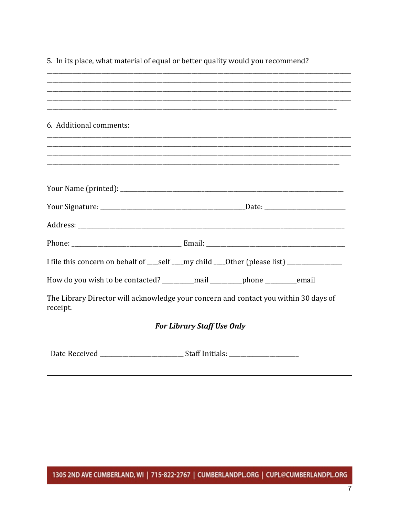| 5. In its place, what material of equal or better quality would you recommend?                      |
|-----------------------------------------------------------------------------------------------------|
|                                                                                                     |
|                                                                                                     |
|                                                                                                     |
| 6. Additional comments:                                                                             |
|                                                                                                     |
|                                                                                                     |
|                                                                                                     |
|                                                                                                     |
|                                                                                                     |
| I file this concern on behalf of ____self ____my child ____0ther (please list) ____________________ |
| How do you wish to be contacted? _________mail _________phone ___________email                      |
| The Library Director will acknowledge your concern and contact you within 30 days of<br>receipt.    |
| <b>For Library Staff Use Only</b>                                                                   |
|                                                                                                     |

1305 2ND AVE CUMBERLAND, WI | 715-822-2767 | CUMBERLANDPL.ORG | CUPL@CUMBERLANDPL.ORG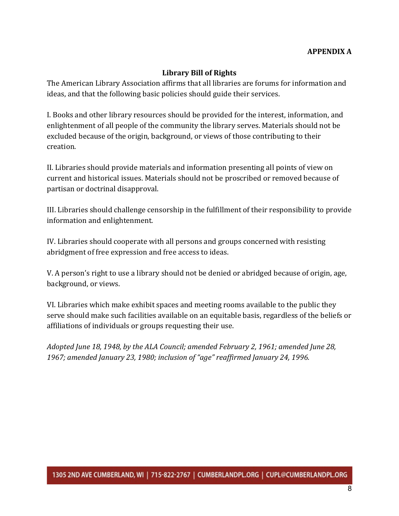# **Library Bill of Rights**

The American Library Association affirms that all libraries are forums for information and ideas, and that the following basic policies should guide their services.

I. Books and other library resources should be provided for the interest, information, and enlightenment of all people of the community the library serves. Materials should not be excluded because of the origin, background, or views of those contributing to their creation.

II. Libraries should provide materials and information presenting all points of view on current and historical issues. Materials should not be proscribed or removed because of partisan or doctrinal disapproval.

III. Libraries should challenge censorship in the fulfillment of their responsibility to provide information and enlightenment.

IV. Libraries should cooperate with all persons and groups concerned with resisting abridgment of free expression and free access to ideas.

V. A person's right to use a library should not be denied or abridged because of origin, age, background, or views.

VI. Libraries which make exhibit spaces and meeting rooms available to the public they serve should make such facilities available on an equitable basis, regardless of the beliefs or affiliations of individuals or groups requesting their use.

*Adopted June 18, 1948, by the ALA Council; amended February 2, 1961; amended June 28, 1967; amended January 23, 1980; inclusion of "age" reaffirmed January 24, 1996.*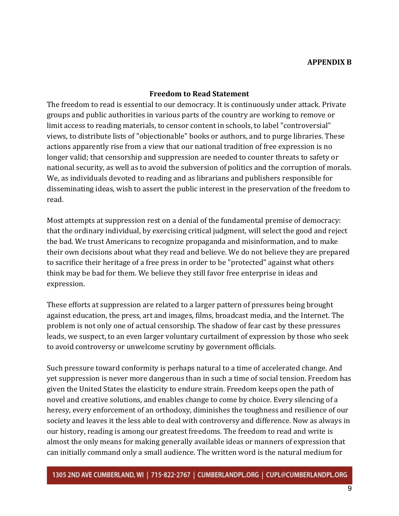## **Freedom to Read Statement**

The freedom to read is essential to our democracy. It is continuously under attack. Private groups and public authorities in various parts of the country are working to remove or limit access to reading materials, to censor content in schools, to label "controversial" views, to distribute lists of "objectionable" books or authors, and to purge libraries. These actions apparently rise from a view that our national tradition of free expression is no longer valid; that censorship and suppression are needed to counter threats to safety or national security, as well as to avoid the subversion of politics and the corruption of morals. We, as individuals devoted to reading and as librarians and publishers responsible for disseminating ideas, wish to assert the public interest in the preservation of the freedom to read.

Most attempts at suppression rest on a denial of the fundamental premise of democracy: that the ordinary individual, by exercising critical judgment, will select the good and reject the bad. We trust Americans to recognize propaganda and misinformation, and to make their own decisions about what they read and believe. We do not believe they are prepared to sacrifice their heritage of a free press in order to be "protected" against what others think may be bad for them. We believe they still favor free enterprise in ideas and expression.

These efforts at suppression are related to a larger pattern of pressures being brought against education, the press, art and images, films, broadcast media, and the Internet. The problem is not only one of actual censorship. The shadow of fear cast by these pressures leads, we suspect, to an even larger voluntary curtailment of expression by those who seek to avoid controversy or unwelcome scrutiny by government officials.

Such pressure toward conformity is perhaps natural to a time of accelerated change. And yet suppression is never more dangerous than in such a time of social tension. Freedom has given the United States the elasticity to endure strain. Freedom keeps open the path of novel and creative solutions, and enables change to come by choice. Every silencing of a heresy, every enforcement of an orthodoxy, diminishes the toughness and resilience of our society and leaves it the less able to deal with controversy and difference. Now as always in our history, reading is among our greatest freedoms. The freedom to read and write is almost the only means for making generally available ideas or manners of expression that can initially command only a small audience. The written word is the natural medium for

1305 2ND AVE CUMBERLAND, WI | 715-822-2767 | CUMBERLANDPL.ORG | CUPL@CUMBERLANDPL.ORG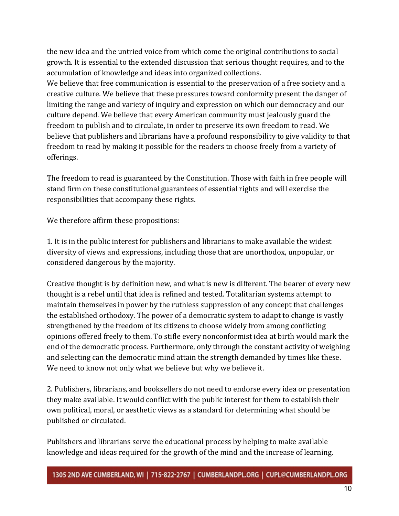the new idea and the untried voice from which come the original contributions to social growth. It is essential to the extended discussion that serious thought requires, and to the accumulation of knowledge and ideas into organized collections.

We believe that free communication is essential to the preservation of a free society and a creative culture. We believe that these pressures toward conformity present the danger of limiting the range and variety of inquiry and expression on which our democracy and our culture depend. We believe that every American community must jealously guard the freedom to publish and to circulate, in order to preserve its own freedom to read. We believe that publishers and librarians have a profound responsibility to give validity to that freedom to read by making it possible for the readers to choose freely from a variety of offerings.

The freedom to read is guaranteed by the Constitution. Those with faith in free people will stand firm on these constitutional guarantees of essential rights and will exercise the responsibilities that accompany these rights.

We therefore affirm these propositions:

1. It is in the public interest for publishers and librarians to make available the widest diversity of views and expressions, including those that are unorthodox, unpopular, or considered dangerous by the majority.

Creative thought is by definition new, and what is new is different. The bearer of every new thought is a rebel until that idea is refined and tested. Totalitarian systems attempt to maintain themselves in power by the ruthless suppression of any concept that challenges the established orthodoxy. The power of a democratic system to adapt to change is vastly strengthened by the freedom of its citizens to choose widely from among conflicting opinions offered freely to them. To stifle every nonconformist idea at birth would mark the end of the democratic process. Furthermore, only through the constant activity of weighing and selecting can the democratic mind attain the strength demanded by times like these. We need to know not only what we believe but why we believe it.

2. Publishers, librarians, and booksellers do not need to endorse every idea or presentation they make available. It would conflict with the public interest for them to establish their own political, moral, or aesthetic views as a standard for determining what should be published or circulated.

Publishers and librarians serve the educational process by helping to make available knowledge and ideas required for the growth of the mind and the increase of learning.

1305 2ND AVE CUMBERLAND, WI | 715-822-2767 | CUMBERLANDPL.ORG | CUPL@CUMBERLANDPL.ORG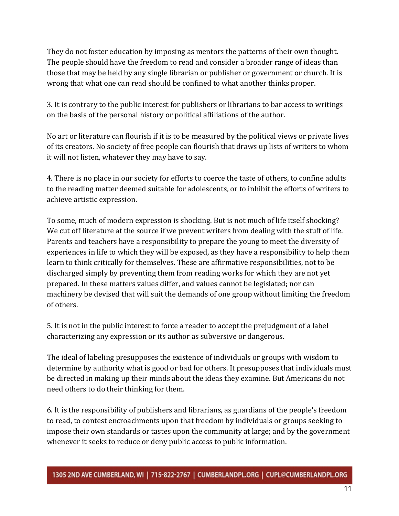They do not foster education by imposing as mentors the patterns of their own thought. The people should have the freedom to read and consider a broader range of ideas than those that may be held by any single librarian or publisher or government or church. It is wrong that what one can read should be confined to what another thinks proper.

3. It is contrary to the public interest for publishers or librarians to bar access to writings on the basis of the personal history or political affiliations of the author.

No art or literature can flourish if it is to be measured by the political views or private lives of its creators. No society of free people can flourish that draws up lists of writers to whom it will not listen, whatever they may have to say.

4. There is no place in our society for efforts to coerce the taste of others, to confine adults to the reading matter deemed suitable for adolescents, or to inhibit the efforts of writers to achieve artistic expression.

To some, much of modern expression is shocking. But is not much of life itself shocking? We cut off literature at the source if we prevent writers from dealing with the stuff of life. Parents and teachers have a responsibility to prepare the young to meet the diversity of experiences in life to which they will be exposed, as they have a responsibility to help them learn to think critically for themselves. These are affirmative responsibilities, not to be discharged simply by preventing them from reading works for which they are not yet prepared. In these matters values differ, and values cannot be legislated; nor can machinery be devised that will suit the demands of one group without limiting the freedom of others.

5. It is not in the public interest to force a reader to accept the prejudgment of a label characterizing any expression or its author as subversive or dangerous.

The ideal of labeling presupposes the existence of individuals or groups with wisdom to determine by authority what is good or bad for others. It presupposes that individuals must be directed in making up their minds about the ideas they examine. But Americans do not need others to do their thinking for them.

6. It is the responsibility of publishers and librarians, as guardians of the people's freedom to read, to contest encroachments upon that freedom by individuals or groups seeking to impose their own standards or tastes upon the community at large; and by the government whenever it seeks to reduce or deny public access to public information.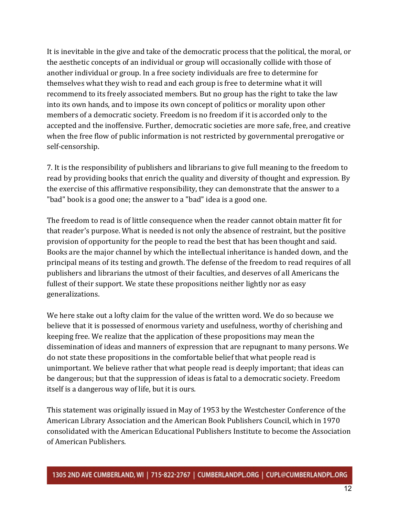It is inevitable in the give and take of the democratic process that the political, the moral, or the aesthetic concepts of an individual or group will occasionally collide with those of another individual or group. In a free society individuals are free to determine for themselves what they wish to read and each group is free to determine what it will recommend to its freely associated members. But no group has the right to take the law into its own hands, and to impose its own concept of politics or morality upon other members of a democratic society. Freedom is no freedom if it is accorded only to the accepted and the inoffensive. Further, democratic societies are more safe, free, and creative when the free flow of public information is not restricted by governmental prerogative or self-censorship.

7. It is the responsibility of publishers and librarians to give full meaning to the freedom to read by providing books that enrich the quality and diversity of thought and expression. By the exercise of this affirmative responsibility, they can demonstrate that the answer to a "bad" book is a good one; the answer to a "bad" idea is a good one.

The freedom to read is of little consequence when the reader cannot obtain matter fit for that reader's purpose. What is needed is not only the absence of restraint, but the positive provision of opportunity for the people to read the best that has been thought and said. Books are the major channel by which the intellectual inheritance is handed down, and the principal means of its testing and growth. The defense of the freedom to read requires of all publishers and librarians the utmost of their faculties, and deserves of all Americans the fullest of their support. We state these propositions neither lightly nor as easy generalizations.

We here stake out a lofty claim for the value of the written word. We do so because we believe that it is possessed of enormous variety and usefulness, worthy of cherishing and keeping free. We realize that the application of these propositions may mean the dissemination of ideas and manners of expression that are repugnant to many persons. We do not state these propositions in the comfortable belief that what people read is unimportant. We believe rather that what people read is deeply important; that ideas can be dangerous; but that the suppression of ideas is fatal to a democratic society. Freedom itself is a dangerous way of life, but it is ours.

This statement was originally issued in May of 1953 by the Westchester Conference of the American Library Association and the American Book Publishers Council, which in 1970 consolidated with the American Educational Publishers Institute to become the Association of American Publishers.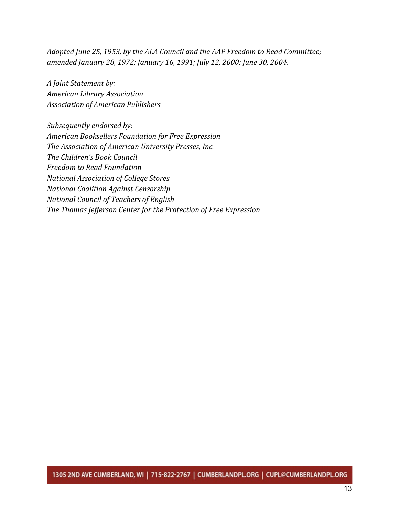*Adopted June 25, 1953, by the ALA Council and the AAP Freedom to Read Committee; amended January 28, 1972; January 16, 1991; July 12, 2000; June 30, 2004.* 

*A Joint Statement by: American Library Association Association of American Publishers* 

*Subsequently endorsed by: American Booksellers Foundation for Free Expression The Association of American University Presses, Inc. The Children's Book Council Freedom to Read Foundation National Association of College Stores National Coalition Against Censorship National Council of Teachers of English The Thomas Jefferson Center for the Protection of Free Expression*